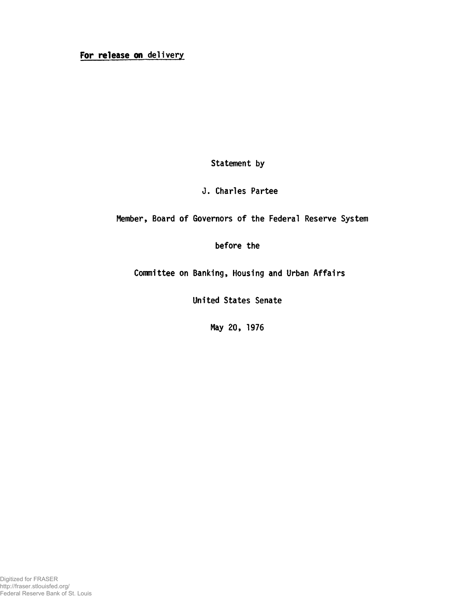## For release on delivery

Statement by

J. Charles Partee

Member, Board of Governors of the Federal Reserve System

before the

Committee on Banking, Housing and Urban Affairs

United States Senate

May 20, 1976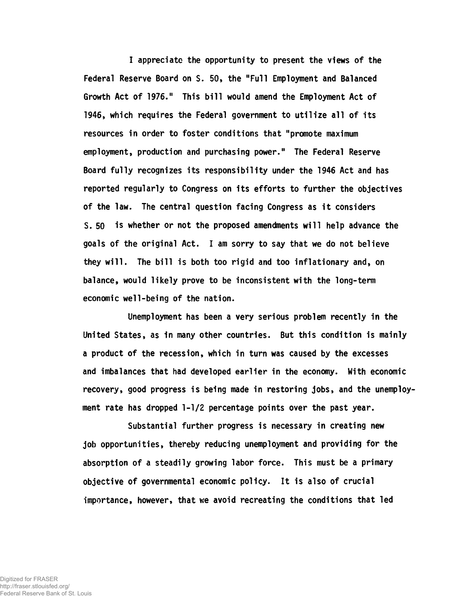I appreciate the opportunity to present the views of the Federal Reserve Board on S. 50, the "Full Employment and Balanced Growth Act of 1976." This bill would amend the Employment Act of 1946, which requires the Federal government to utilize all of its resources in order to foster conditions that "promote maximum employment, production and purchasing power." The Federal Reserve Board fully recognizes its responsibility under the 1946 Act and has reported regularly to Congress on its efforts to further the objectives of the law. The central question facing Congress as it considers S. 50 is whether or not the proposed amendments will help advance the goals of the original Act. I am sorry to say that we do not believe they will. The bill is both too rigid and too inflationary and, on balance, would likely prove to be inconsistent with the long-term economic well-being of the nation.

Unemployment has been a very serious problem recently in the United States, as in many other countries. But this condition is mainly a product of the recession, which in turn was caused by the excesses and imbalances that had developed earlier in the economy. With economic recovery, good progress is being made in restoring jobs, and the unemployment rate has dropped 1-1/2 percentage points over the past year.

Substantial further progress is necessary in creating new job opportunities, thereby reducing unemployment and providing for the absorption of a steadily growing labor force. This must be a primary objective of governmental economic policy. It is also of crucial importance, however, that we avoid recreating the conditions that led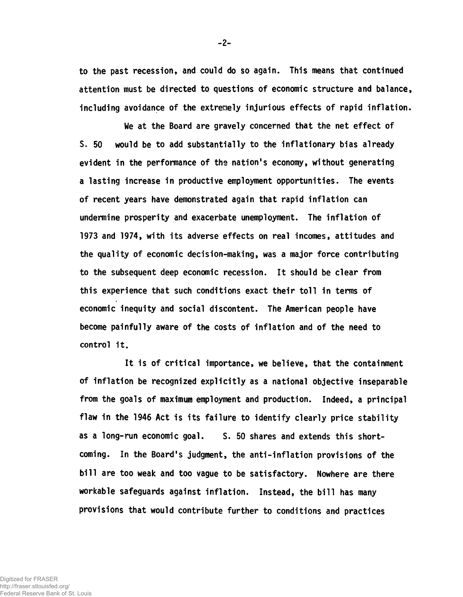to the past recession, and could do so again. This means that continued attention must be directed to questions of economic structure and balance, including avoidance of the extremely injurious effects of rapid inflation.

We at the Board are gravely concerned that the net effect of S. 50 would be to add substantially to the inflationary bias already evident in the performance of the nation's economy, without generating a lasting increase in productive employment opportunities. The events of recent years have demonstrated again that rapid inflation can undermine prosperity and exacerbate unemployment. The inflation of 1973 and 1974, with its adverse effects on real incomes, attitudes and the quality of economic decision-making, was a major force contributing to the subsequent deep economic recession. It should be clear from this experience that such conditions exact their toll in terms of economic inequity and social discontent. The American people have become painfully aware of the costs of inflation and of the need to control it.

It is of critical importance, we believe, that the containment of inflation be recognized explicitly as a national objective inseparable from the goals of maximum employment and production. Indeed, a principal flaw in the 1946 Act is its failure to identify clearly price stability as a long-run economic goal. S. 50 shares and extends this shortcoming. In the Board's judgment, the anti-inflation provisions of the bill are too weak and too vague to be satisfactory. Nowhere are there workable safeguards against inflation. Instead, the bill has many provisions that would contribute further to conditions and practices

**-** 2**-**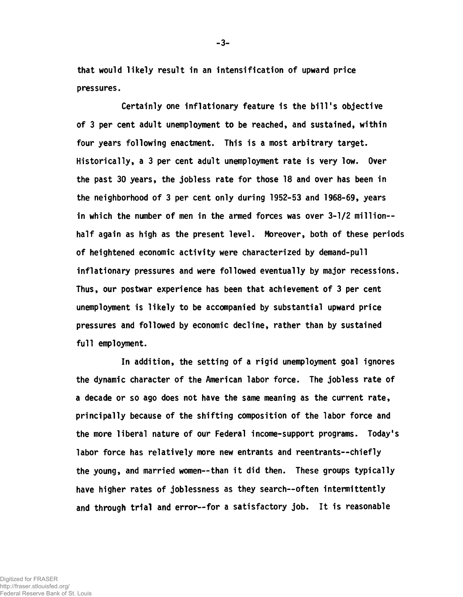that would likely result in an intensification of upward price pressures.

Certainly one inflationary feature is the bill's objective of 3 per cent adult unemployment to be reached, and sustained, within four years following enactment. This is a most arbitrary target. Historically, a 3 per cent adult unemployment rate is very low. Over the past 30 years, the jobless rate for those 18 and over has been in the neighborhood of 3 per cent only during 1952-53 and 1968-69, years in which the number of men in the armed forces was over 3-1/2 millionhalf again as high as the present level. Moreover, both of these periods of heightened economic activity were characterized by demand-pull inflationary pressures and were followed eventually by major recessions. Thus, our postwar experience has been that achievement of 3 per cent unemployment is likely to be accompanied by substantial upward price pressures and followed by economic decline, rather than by sustained full employment.

In addition, the setting of a rigid unemployment goal ignores the dynamic character of the American labor force. The jobless rate of a decade or so ago does not have the same meaning as the current rate, principally because of the shifting composition of the labor force and the more liberal nature of our Federal income-support programs. Today's labor force has relatively more new entrants and reentrants--chiefly the young, and married women— than it did then. These groups typically have higher rates of joblessness as they search--often intermittently and through trial and error— for a satisfactory job. It is reasonable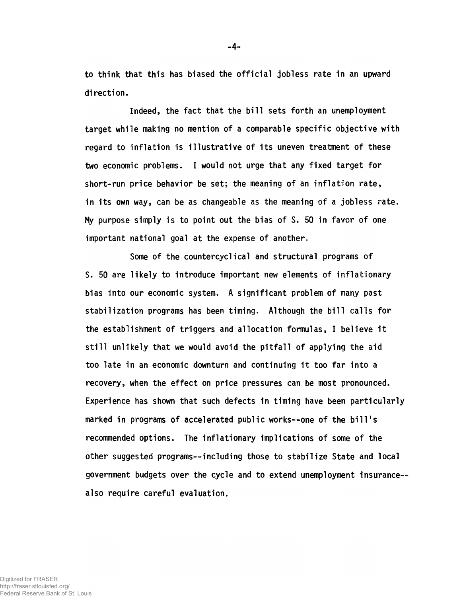to think that this has biased the official jobless rate in an upward direction.

Indeed, the fact that the bill sets forth an unemployment target while making no mention of a comparable specific objective with regard to inflation is illustrative of its uneven treatment of these two economic problems. I would not urge that any fixed target for short-run price behavior be set; the meaning of an inflation rate, in its own way, can be as changeable as the meaning of a jobless rate. My purpose simply is to point out the bias of S. 50 in favor of one important national goal at the expense of another.

Some of the countercyclical and structural programs of S. 50 are likely to introduce important new elements of inflationary bias into our economic system. A significant problem of many past stabilization programs has been timing. Although the bill calls for the establishment of triggers and allocation formulas, I believe it still unlikely that we would avoid the pitfall of applying the aid too late in an economic downturn and continuing it too far into a recovery, when the effect on price pressures can be most pronounced. Experience has shown that such defects in timing have been particularly marked in programs of accelerated public works— one of the bill's recommended options. The inflationary implications of some of the other suggested programs— including those to stabilize State and local government budgets over the cycle and to extend unemployment insurance also require careful evaluation.

Digitized for FRASER http://fraser.stlouisfed.org/ Federal Reserve Bank of St. Louis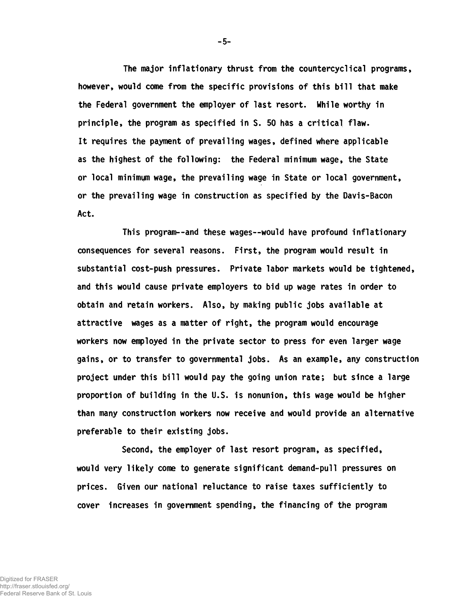The major inflationary thrust from the countercyclical programs, however, would come from the specific provisions of this bill that make the Federal government the employer of last resort. While worthy in principle, the program as specified in S. 50 has a critical flaw. It requires the payment of prevailing wages, defined where applicable as the highest of the following: the Federal minimum wage, the State or local minimum wage, the prevailing wage in State or local government, or the prevailing wage in construction as specified by the Davis-Bacon Act.

This program— and these wages— would have profound inflationary consequences for several reasons. First, the program would result in substantial cost-push pressures. Private labor markets would be tightened, and this would cause private employers to bid up wage rates in order to obtain and retain workers. Also, by making public jobs available at attractive wages as a matter of right, the program would encourage workers now employed in the private sector to press for even larger wage gains, or to transfer to governmental jobs. As an example, any construction project under this bill would pay the going union rate; but since a large proportion of building in the U.S. is nonunion, this wage would be higher than many construction workers now receive and would provide an alternative preferable to their existing jobs.

Second, the employer of last resort program, as specified, would very likely come to generate significant demand-pull pressures on prices. Given our national reluctance to raise taxes sufficiently to cover increases in government spending, the financing of the program

-5-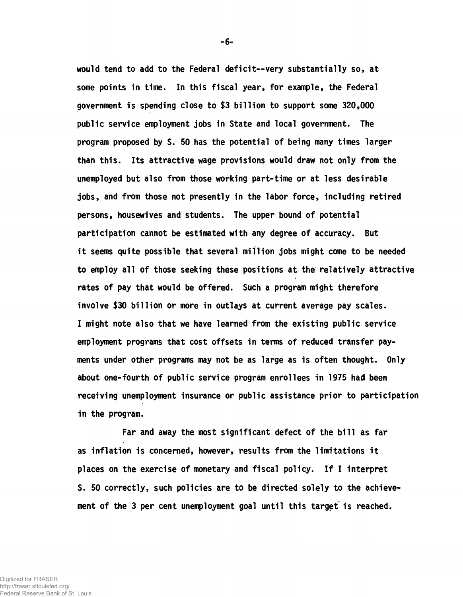would tend to add to the Federal deficit--very substantially so, at some points in time. In this fiscal year, for example, the Federal government is spending close to \$3 billion to support some 320,000 public service employment jobs in State and local government. The program proposed by S. 50 has the potential of being many times larger than this. Its attractive wage provisions would draw not only from the unemployed but also from those working part-time or at less desirable jobs, and from those not presently in the labor force, including retired persons, housewives and students. The upper bound of potential participation cannot be estimated with any degree of accuracy. But it seems quite possible that several million jobs might come to be needed to employ all of those seeking these positions at the relatively attractive rates of pay that would be offered. Such a program might therefore involve \$30 billion or more in outlays at current average pay scales. I might note also that we have learned from the existing public service employment programs that cost offsets in terms of reduced transfer payments under other programs may not be as large as is often thought. Only about one-fourth of public service program enrollees in 1975 had been receiving unemployment insurance or public assistance prior to participation in the program.

Far and away the most significant defect of the bill as far as inflation is concerned, however, results from the limitations it places on the exercise of monetary and fiscal policy. If I interpret S. 50 correctly, such policies are to be directed solely to the achievement of the 3 per cent unemployment goal until this target is reached.

-6-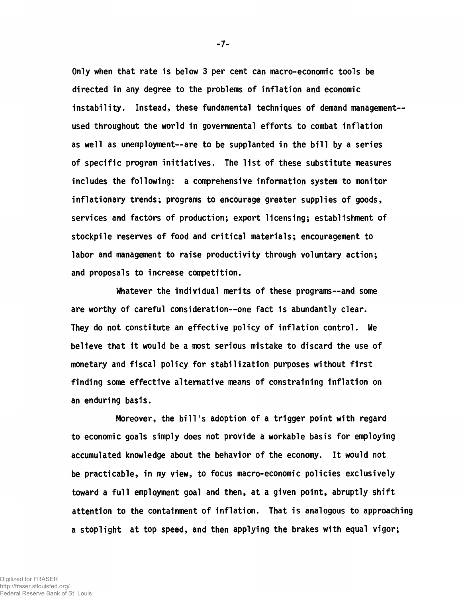Only when that rate is below 3 per cent can macro-economic tools be directed in any degree to the problems of inflation and economic instability. Instead, these fundamental techniques of demand managementused throughout the world in governmental efforts to combat inflation as well as unemployment— are to be supplanted in the bill by a series of specific program initiatives. The list of these substitute measures includes the following: a comprehensive information system to monitor inflationary trends; programs to encourage greater supplies of goods, services and factors of production; export licensing; establishment of stockpile reserves of food and critical materials; encouragement to labor and management to raise productivity through voluntary action; and proposals to increase competition.

Whatever the individual merits of these programs--and some are worthy of careful consideration--one fact is abundantly clear. They do not constitute an effective policy of inflation control. We believe that it would be a most serious mistake to discard the use of monetary and fiscal policy for stabilization purposes without first finding some effective alternative means of constraining inflation on an enduring basis.

Moreover, the bill's adoption of a trigger point with regard to economic goals simply does not provide a workable basis for employing accumulated knowledge about the behavior of the economy. It would not be practicable, in my view, to focus macro-economic policies exclusively toward a full employment goal and then, at a given point, abruptly shift attention to the containment of inflation. That is analogous to approaching a stoplight at top speed, and then applying the brakes with equal vigor;

-7-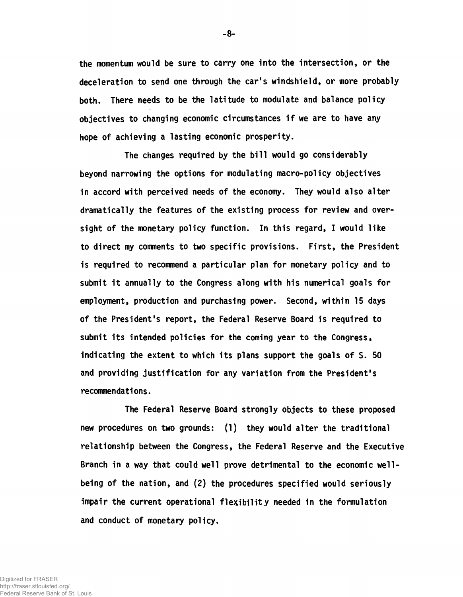the momentum would be sure to carry one into the intersection, or the deceleration to send one through the car's windshield, or more probably both. There needs to be the latitude to modulate and balance policy objectives to changing economic circumstances if we are to have any hope of achieving a lasting economic prosperity.

The changes required by the bill would go considerably beyond narrowing the options for modulating macro-policy objectives in accord with perceived needs of the economy. They would also alter dramatically the features of the existing process for review and oversight of the monetary policy function. In this regard, I would like to direct my comments to two specific provisions. First, the President is required to recommend a particular plan for monetary policy and to submit it annually to the Congress along with his numerical goals for employment, production and purchasing power. Second, within 15 days of the President's report, the Federal Reserve Board is required to submit its intended policies for the coming year to the Congress, indicating the extent to which its plans support the goals of S. 50 and providing justification for any variation from the President's recommendations.

The Federal Reserve Board strongly objects to these proposed new procedures on two grounds: (1) they would alter the traditional relationship between the Congress, the Federal Reserve and the Executive Branch in a way that could well prove detrimental to the economic wellbeing of the nation, and (2) the procedures specified would seriously impair the current operational flexibility needed in the formulation and conduct of monetary policy.

-8-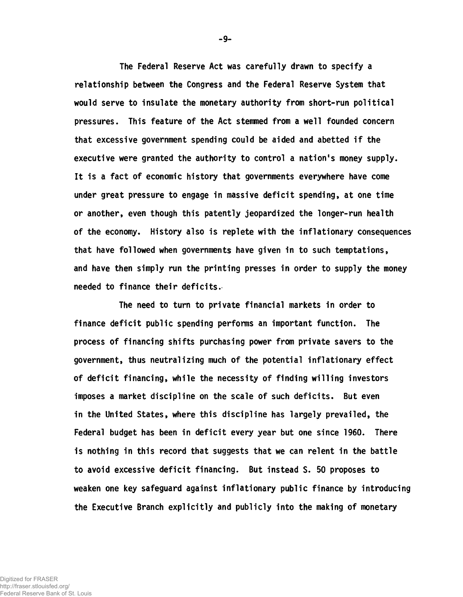The Federal Reserve Act was carefully drawn to specify a relationship between the Congress and the Federal Reserve System that would serve to insulate the monetary authority from short-run political pressures. This feature of the Act stemmed from a well founded concern that excessive government spending could be aided and abetted if the executive were granted the authority to control a nation's money supply. It is a fact of economic history that governments everywhere have come under great pressure to engage in massive deficit spending, at one time or another, even though this patently jeopardized the longer-run health of the economy. History also is replete with the inflationary consequences that have followed when governments have given in to such temptations, and have then simply run the printing presses in order to supply the money needed to finance their deficits.

The need to turn to private financial markets in order to finance deficit public spending performs an important function. The process of financing shifts purchasing power from private savers to the government, thus neutralizing much of the potential inflationary effect of deficit financing, while the necessity of finding willing investors imposes a market discipline on the scale of such deficits. But even in the United States, where this discipline has largely prevailed, the Federal budget has been in deficit every year but one since 1960. There is nothing in this record that suggests that we can relent in the battle to avoid excessive deficit financing. But instead S. 50 proposes to weaken one key safeguard against inflationary public finance by introducing the Executive Branch explicitly and publicly into the making of monetary

-9-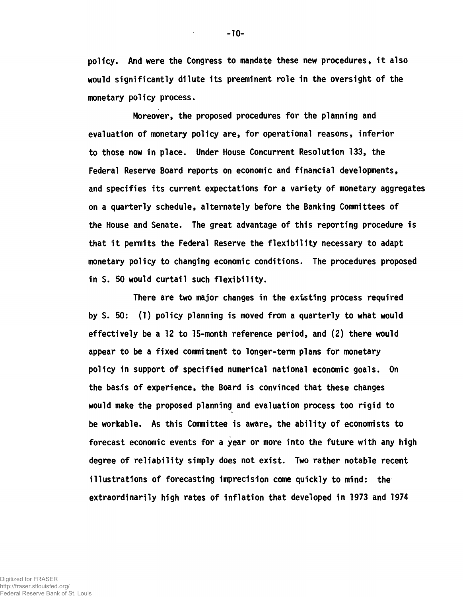poli cy. And were the Congress to mandate these new procedures, it also would significantly dilute its preeminent role in the oversight of the monetary policy process.

Moreover, the proposed procedures for the planning and evaluation of monetary policy are, for operational reasons, inferior to those now in place. Under House Concurrent Resolution 133, the Federal Reserve Board reports on economic and financial developments, and specifies its current expectations for a variety of monetary aggregates on a quarterly schedule, alternately before the Banking Committees of the House and Senate. The great advantage of this reporting procedure is that it permits the Federal Reserve the flexibility necessary to adapt monetary policy to changing economic conditions. The procedures proposed in S. 50 would curtail such flexibility.

There are two major changes in the existing process required by S. 50: (1) policy planning is moved from a quarterly to what would effectively be a 12 to 15-month reference period, and (2) there would appear to be a fixed commitment to longer-term plans for monetary policy in support of specified numerical national economic goals. On the basis of experience, the Board Is convinced that these changes would make the proposed planning and evaluation process too rigid to be workable. As this Committee is aware, the ability of economists to forecast economic events for a year or more into the future with any high degree of reliability simply does not exist. Two rather notable recent illustrations of forecasting imprecision come quickly to mind: the extraordinarily high rates of inflation that developed in 1973 and 1974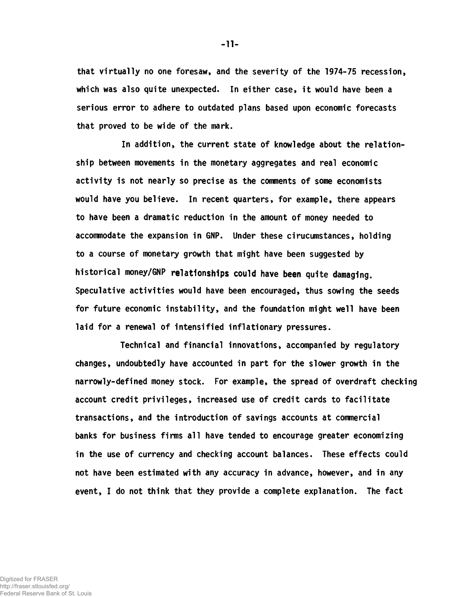that virtually no one foresaw, and the severity of the 1974-75 recession, which was also quite unexpected. In either case, it would have been a serious error to adhere to outdated plans based upon economic forecasts that proved to be wide of the mark.

In addition, the current state of knowledge about the relationship between movements in the monetary aggregates and real economic activity is not nearly so precise as the comments of some economists would have you believe. In recent quarters, for example, there appears to have been a dramatic reduction in the amount of money needed to accommodate the expansion in GNP. Under these cirucumstances, holding to a course of monetary growth that might have been suggested by historical money/GNP relationships could have been quite damaging. Speculative activities would have been encouraged, thus sowing the seeds for future economic instability, and the foundation might well have been laid for a renewal of intensified inflationary pressures.

Technical and financial innovations, accompanied by regulatory changes, undoubtedly have accounted in part for the slower growth in the narrowly-defined money stock. For example, the spread of overdraft checking account credit privileges, increased use of credit cards to facilitate transactions, and the introduction of savings accounts at commercial banks for business firms all have tended to encourage greater economizing in the use of currency and checking account balances. These effects could not have been estimated with any accuracy in advance, however, and in any event, I do not think that they provide a complete explanation. The fact

Digitized for FRASER http://fraser.stlouisfed.org/ Federal Reserve Bank of St. Louis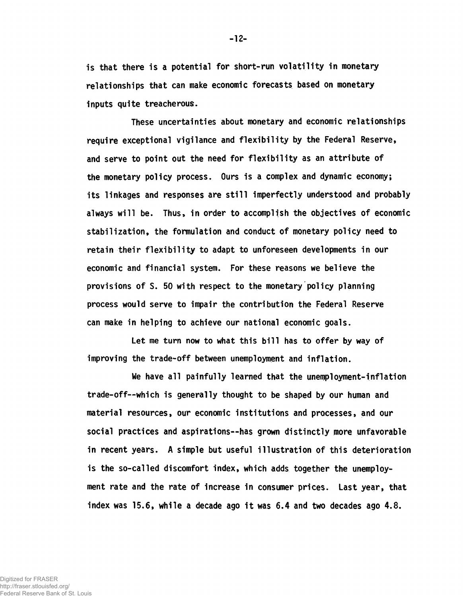is that there is a potential for short-run volatility in monetary relationships that can make economic forecasts based on monetary inputs quite treacherous.

These uncertainties about monetary and economic relationships require exceptional vigilance and flexibility by the Federal Reserve, and serve to point out the need for flexibility as an attribute of the monetary policy process. Ours is a complex and dynamic economy; its linkages and responses are still imperfectly understood and probably always will be. Thus, in order to accomplish the objectives of economic stabilization, the formulation and conduct of monetary policy need to retain their flexibility to adapt to unforeseen developments in our economic and financial system. For these reasons we believe the provisions of S. 50 with respect to the monetary policy planning process would serve to impair the contribution the Federal Reserve can make in helping to achieve our national economic goals.

Let me turn now to what this bill has to offer by way of improving the trade-off between unemployment and inflation.

We have all painfully learned that the unemployment-inflation trade-off— which is generally thought to be shaped by our human and material resources, our economic institutions and processes, and our social practices and aspirations--has grown distinctly more unfavorable in recent years. A simple but useful illustration of this deterioration is the so-called discomfort index, which adds together the unemployment rate and the rate of increase in consumer prices. Last year, that index was 15.6, while a decade ago it was 6.4 and two decades ago 4.8.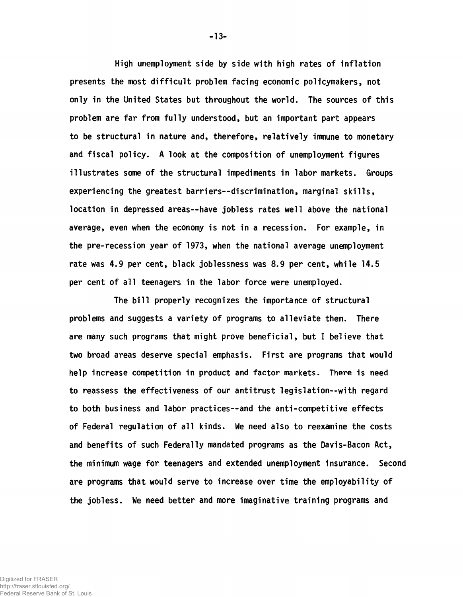High unemployment side by side with high rates of inflation presents the most difficult problem facing economic policymakers, not only in the United States but throughout the world. The sources of this problem are far from fully understood, but an important part appears to be structural in nature and, therefore, relatively immune to monetary and fiscal policy. A look at the composition of unemployment figures illustrates some of the structural impediments in labor markets. Groups experiencing the greatest barriers— discrimination, marginal skills, location in depressed areas— have jobless rates well above the national average, even when the economy is not in a recession. For example, in the pre-recession year of 1973, when the national average unemployment rate was 4.9 per cent, black joblessness was 8.9 per cent, while 14.5 per cent of all teenagers in the labor force were unemployed.

The bill properly recognizes the importance of structural problems and suggests a variety of programs to alleviate them. There are many such programs that might prove beneficial, but I believe that two broad areas deserve special emphasis. First are programs that would help increase competition in product and factor markets. There is need to reassess the effectiveness of our antitrust legislation--with regard to both business and labor practices— and the anti-competitive effects of Federal regulation of all kinds. We need also to reexamine the costs and benefits of such Federally mandated programs as the Davis-Bacon Act, the minimum wage for teenagers and extended unemployment insurance. Second are programs that would serve to increase over time the employability of the jobless. We need better and more imaginative training programs and